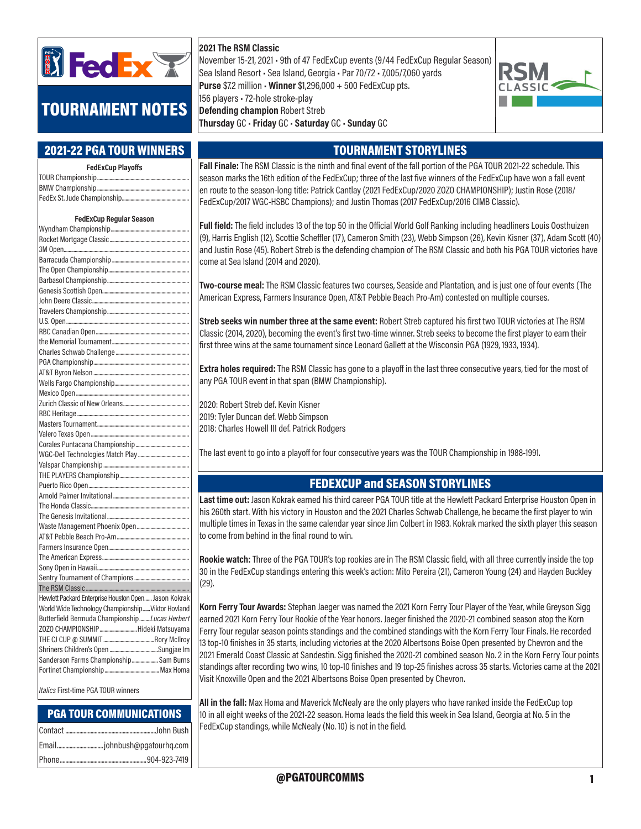

# TOURNAMENT NOTES

## 2021-22 PGA TOUR WINNERS

| <b>FedExCup Playoffs</b>                             |  |
|------------------------------------------------------|--|
|                                                      |  |
|                                                      |  |
|                                                      |  |
| <b>FedExCup Regular Season</b>                       |  |
|                                                      |  |
|                                                      |  |
|                                                      |  |
|                                                      |  |
|                                                      |  |
|                                                      |  |
|                                                      |  |
|                                                      |  |
|                                                      |  |
|                                                      |  |
|                                                      |  |
|                                                      |  |
|                                                      |  |
|                                                      |  |
|                                                      |  |
|                                                      |  |
|                                                      |  |
|                                                      |  |
|                                                      |  |
|                                                      |  |
|                                                      |  |
|                                                      |  |
|                                                      |  |
|                                                      |  |
|                                                      |  |
|                                                      |  |
|                                                      |  |
|                                                      |  |
|                                                      |  |
|                                                      |  |
|                                                      |  |
|                                                      |  |
|                                                      |  |
|                                                      |  |
|                                                      |  |
|                                                      |  |
| Hewlett Packard Enterprise Houston Open Jason Kokrak |  |
| World Wide Technology ChampionshipViktor Hovland     |  |
| Butterfield Bermuda ChampionshipLucas Herbert        |  |
| ZOZO CHAMPIONSHIPHideki Matsuyama                    |  |
|                                                      |  |
| Sanderson Farms Championship Sam Burns               |  |
|                                                      |  |
|                                                      |  |
|                                                      |  |

Italics First-time PGA TOUR winners

### PGA TOUR COMMUNICATIONS

### 2021 The RSM Classic

November 15-21, 2021 • 9th of 47 FedExCup events (9/44 FedExCup Regular Season) Sea Island Resort • Sea Island, Georgia • Par 70/72 • 7,005/7,060 yards Purse \$7.2 million · Winner \$1,296,000 + 500 FedExCup pts. 156 players • 72-hole stroke-play Defending champion Robert Streb Thursday GC • Friday GC • Saturday GC • Sunday GC



## TOURNAMENT STORYLINES

Fall Finale: The RSM Classic is the ninth and final event of the fall portion of the PGA TOUR 2021-22 schedule. This season marks the 16th edition of the FedExCup; three of the last five winners of the FedExCup have won a fall event en route to the season-long title: Patrick Cantlay (2021 FedExCup/2020 ZOZO CHAMPIONSHIP); Justin Rose (2018/ FedExCup/2017 WGC-HSBC Champions); and Justin Thomas (2017 FedExCup/2016 CIMB Classic).

Full field: The field includes 13 of the top 50 in the Official World Golf Ranking including headliners Louis Oosthuizen (9), Harris English (12), Scottie Scheffler (17), Cameron Smith (23), Webb Simpson (26), Kevin Kisner (37), Adam Scott (40) and Justin Rose (45). Robert Streb is the defending champion of The RSM Classic and both his PGA TOUR victories have come at Sea Island (2014 and 2020).

Two-course meal: The RSM Classic features two courses, Seaside and Plantation, and is just one of four events (The American Express, Farmers Insurance Open, AT&T Pebble Beach Pro-Am) contested on multiple courses.

Streb seeks win number three at the same event: Robert Streb captured his first two TOUR victories at The RSM Classic (2014, 2020), becoming the event's first two-time winner. Streb seeks to become the first player to earn their first three wins at the same tournament since Leonard Gallett at the Wisconsin PGA (1929, 1933, 1934).

Extra holes required: The RSM Classic has gone to a playoff in the last three consecutive years, tied for the most of any PGA TOUR event in that span (BMW Championship).

2020: Robert Streb def. Kevin Kisner 2019: Tyler Duncan def. Webb Simpson 2018: Charles Howell III def. Patrick Rodgers

The last event to go into a playoff for four consecutive years was the TOUR Championship in 1988-1991.

### FEDEXCUP and SEASON STORYLINES

Last time out: Jason Kokrak earned his third career PGA TOUR title at the Hewlett Packard Enterprise Houston Open in his 260th start. With his victory in Houston and the 2021 Charles Schwab Challenge, he became the first player to win multiple times in Texas in the same calendar year since Jim Colbert in 1983. Kokrak marked the sixth player this season to come from behind in the final round to win.

Rookie watch: Three of the PGA TOUR's top rookies are in The RSM Classic field, with all three currently inside the top 30 in the FedExCup standings entering this week's action: Mito Pereira (21), Cameron Young (24) and Hayden Buckley (29).

Korn Ferry Tour Awards: Stephan Jaeger was named the 2021 Korn Ferry Tour Player of the Year, while Greyson Sigg earned 2021 Korn Ferry Tour Rookie of the Year honors. Jaeger finished the 2020-21 combined season atop the Korn Ferry Tour regular season points standings and the combined standings with the Korn Ferry Tour Finals. He recorded 13 top-10 finishes in 35 starts, including victories at the 2020 Albertsons Boise Open presented by Chevron and the 2021 Emerald Coast Classic at Sandestin. Sigg finished the 2020-21 combined season No. 2 in the Korn Ferry Tour points standings after recording two wins, 10 top-10 finishes and 19 top-25 finishes across 35 starts. Victories came at the 2021 Visit Knoxville Open and the 2021 Albertsons Boise Open presented by Chevron.

All in the fall: Max Homa and Maverick McNealy are the only players who have ranked inside the FedExCup top 10 in all eight weeks of the 2021-22 season. Homa leads the field this week in Sea Island, Georgia at No. 5 in the FedExCup standings, while McNealy (No. 10) is not in the field.

@PGATOURCOMMS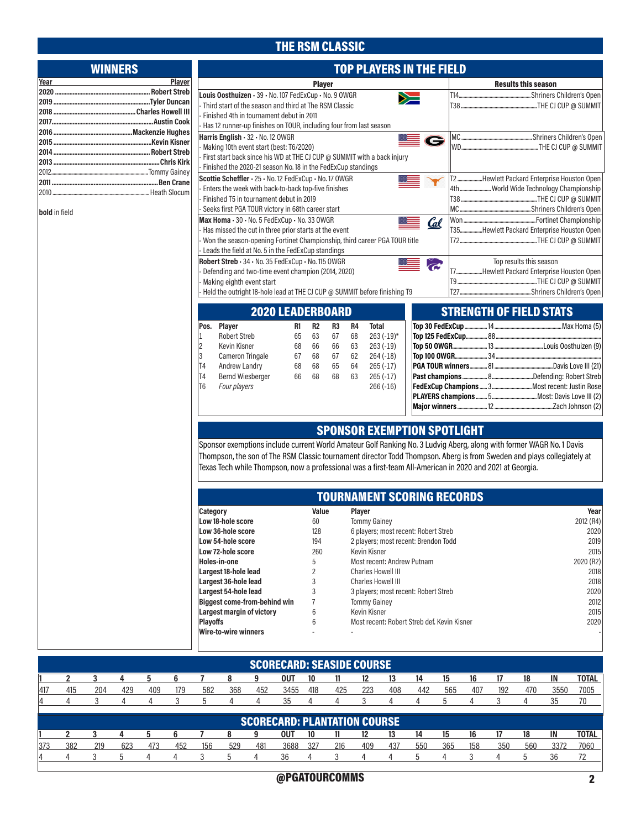# THE RSM CLASSIC

| <b>WINNERS</b> | <b>TOP PLAYERS IN THE FIELD</b>                                                                                    |                             |                                                  |                 |                                                                                                                        |  |  |  |  |  |
|----------------|--------------------------------------------------------------------------------------------------------------------|-----------------------------|--------------------------------------------------|-----------------|------------------------------------------------------------------------------------------------------------------------|--|--|--|--|--|
| Player<br>Year |                                                                                                                    | <b>Player</b>               |                                                  |                 | <b>Results this season</b>                                                                                             |  |  |  |  |  |
|                | Louis Oosthuizen · 39 · No. 107 FedExCup · No. 9 OWGR                                                              |                             |                                                  | Ň               |                                                                                                                        |  |  |  |  |  |
|                | Third start of the season and third at The RSM Classic                                                             |                             |                                                  |                 |                                                                                                                        |  |  |  |  |  |
|                | Finished 4th in tournament debut in 2011                                                                           |                             |                                                  |                 |                                                                                                                        |  |  |  |  |  |
|                | - Has 12 runner-up finishes on TOUR, including four from last season                                               |                             |                                                  |                 |                                                                                                                        |  |  |  |  |  |
|                | Harris English - 32 - No. 12 OWGR                                                                                  |                             |                                                  | $\mathbf\Theta$ |                                                                                                                        |  |  |  |  |  |
|                | Making 10th event start (best: T6/2020)<br>First start back since his WD at THE CJ CUP @ SUMMIT with a back injury |                             |                                                  |                 |                                                                                                                        |  |  |  |  |  |
|                | Finished the 2020-21 season No. 18 in the FedExCup standings                                                       |                             |                                                  |                 |                                                                                                                        |  |  |  |  |  |
|                | Scottie Scheffler - 25 - No. 12 FedExCup - No. 17 OWGR                                                             |                             |                                                  |                 | T2Hewlett Packard Enterprise Houston Open                                                                              |  |  |  |  |  |
|                | Enters the week with back-to-back top-five finishes                                                                |                             |                                                  |                 | 4th  World Wide Technology Championship                                                                                |  |  |  |  |  |
|                | Finished T5 in tournament debut in 2019                                                                            |                             |                                                  |                 |                                                                                                                        |  |  |  |  |  |
| bold in field  | Seeks first PGA TOUR victory in 68th career start                                                                  |                             |                                                  |                 |                                                                                                                        |  |  |  |  |  |
|                | Max Homa · 30 · No. 5 FedExCup · No. 33 OWGR                                                                       |                             |                                                  | <u>Cal</u>      |                                                                                                                        |  |  |  |  |  |
|                | - Has missed the cut in three prior starts at the event                                                            |                             |                                                  |                 | T35Hewlett Packard Enterprise Houston Open                                                                             |  |  |  |  |  |
|                | Won the season-opening Fortinet Championship, third career PGA TOUR title                                          |                             |                                                  |                 |                                                                                                                        |  |  |  |  |  |
|                | - Leads the field at No. 5 in the FedExCup standings                                                               |                             |                                                  |                 |                                                                                                                        |  |  |  |  |  |
|                | Robert Streb - 34 - No. 35 FedExCup - No. 115 OWGR                                                                 |                             |                                                  | <b>CO</b>       | Top results this season                                                                                                |  |  |  |  |  |
|                | Defending and two-time event champion (2014, 2020)<br>Making eighth event start                                    |                             |                                                  |                 | T7Hewlett Packard Enterprise Houston Open                                                                              |  |  |  |  |  |
|                | - Held the outright 18-hole lead at THE CJ CUP @ SUMMIT before finishing T9                                        |                             |                                                  |                 |                                                                                                                        |  |  |  |  |  |
|                |                                                                                                                    |                             |                                                  |                 |                                                                                                                        |  |  |  |  |  |
|                | <b>2020 LEADERBOARD</b>                                                                                            |                             |                                                  |                 | <b>STRENGTH OF FIELD STATS</b>                                                                                         |  |  |  |  |  |
|                | Pos. Player<br>R1                                                                                                  | <b>R2</b><br>R <sub>3</sub> | <b>Total</b><br>R4                               |                 |                                                                                                                        |  |  |  |  |  |
|                | <b>Robert Streb</b><br>65<br>$\overline{1}$                                                                        | 63<br>67                    | 68<br>$263 (-19)^*$                              |                 |                                                                                                                        |  |  |  |  |  |
|                | 2<br>Kevin Kisner<br>68                                                                                            | 66<br>66                    | 63<br>$263(-19)$                                 |                 |                                                                                                                        |  |  |  |  |  |
|                | 3<br>Cameron Tringale<br>67<br>T4<br>Andrew Landry<br>68                                                           | 68<br>67<br>68<br>65        | 62<br>$264(-18)$<br>64<br>$265(-17)$             |                 |                                                                                                                        |  |  |  |  |  |
|                | T4<br>Bernd Wiesberger<br>66                                                                                       | 68<br>68                    | $265(-17)$<br>63                                 |                 |                                                                                                                        |  |  |  |  |  |
|                | T <sub>6</sub><br>Four players                                                                                     |                             | $266(-16)$                                       |                 |                                                                                                                        |  |  |  |  |  |
|                |                                                                                                                    |                             |                                                  |                 |                                                                                                                        |  |  |  |  |  |
|                |                                                                                                                    |                             |                                                  |                 |                                                                                                                        |  |  |  |  |  |
|                |                                                                                                                    |                             |                                                  |                 |                                                                                                                        |  |  |  |  |  |
|                |                                                                                                                    |                             | <b>SPONSOR EXEMPTION SPOTLIGHT</b>               |                 |                                                                                                                        |  |  |  |  |  |
|                |                                                                                                                    |                             |                                                  |                 | Sponsor exemptions include current World Amateur Golf Ranking No. 3 Ludvig Aberg, along with former WAGR No. 1 Davis   |  |  |  |  |  |
|                |                                                                                                                    |                             |                                                  |                 | Thompson, the son of The RSM Classic tournament director Todd Thompson. Aberg is from Sweden and plays collegiately at |  |  |  |  |  |
|                | Texas Tech while Thompson, now a professional was a first-team All-American in 2020 and 2021 at Georgia.           |                             |                                                  |                 |                                                                                                                        |  |  |  |  |  |
|                |                                                                                                                    |                             |                                                  |                 |                                                                                                                        |  |  |  |  |  |
|                |                                                                                                                    |                             | <b>TOURNAMENT SCORING RECORDS</b>                |                 |                                                                                                                        |  |  |  |  |  |
|                | Category                                                                                                           | Value                       | <b>Player</b>                                    |                 | Year                                                                                                                   |  |  |  |  |  |
|                | Low 18-hole score                                                                                                  | 60                          | <b>Tommy Gainey</b>                              |                 | 2012 (R4)                                                                                                              |  |  |  |  |  |
|                | Low 36-hole score                                                                                                  | 128                         | 6 players; most recent: Robert Streb             |                 | 2020                                                                                                                   |  |  |  |  |  |
|                | Low 54-hole score                                                                                                  | 194                         | 2 players; most recent: Brendon Todd             |                 | 2019                                                                                                                   |  |  |  |  |  |
|                | Low 72-hole score                                                                                                  | 260                         | Kevin Kisner                                     |                 | 2015                                                                                                                   |  |  |  |  |  |
|                | Holes-in-one                                                                                                       | 5                           | Most recent: Andrew Putnam<br>Charles Howell III |                 | 2020 (R2)                                                                                                              |  |  |  |  |  |
|                | Largest 18-hole lead<br>Largest 36-hole lead                                                                       | 2<br>3                      | Charles Howell III                               |                 | 2018<br>2018                                                                                                           |  |  |  |  |  |
|                | Largest 54-hole lead                                                                                               | 3                           | 3 players; most recent: Robert Streb             |                 | 2020                                                                                                                   |  |  |  |  |  |
|                | <b>Biggest come-from-behind win</b>                                                                                | 7                           | <b>Tommy Gainey</b>                              |                 | 2012                                                                                                                   |  |  |  |  |  |
|                | <b>Largest margin of victory</b>                                                                                   | 6                           | Kevin Kisner                                     |                 | 2015                                                                                                                   |  |  |  |  |  |
|                | <b>Playoffs</b>                                                                                                    | 6                           | Most recent: Robert Streb def. Kevin Kisner      |                 | 2020                                                                                                                   |  |  |  |  |  |
|                | <b>Wire-to-wire winners</b>                                                                                        |                             |                                                  |                 |                                                                                                                        |  |  |  |  |  |
|                |                                                                                                                    |                             |                                                  |                 |                                                                                                                        |  |  |  |  |  |

|      | <b>SCORECARD: SEASIDE COURSE</b> |     |     |     |     |     |     |     |                                     |     |     |     |     |     |     |     |     |     |      |              |
|------|----------------------------------|-----|-----|-----|-----|-----|-----|-----|-------------------------------------|-----|-----|-----|-----|-----|-----|-----|-----|-----|------|--------------|
|      | 2                                |     | Д   | 5   | h   |     | 8   | 9   | <b>OUT</b>                          | 10  | 11  | 12  | 13  | 14  | 15  | 16  | 17  | 18  | IN   | <b>TOTAL</b> |
| 1417 | 415                              | 204 | 429 | 409 | 179 | 582 | 368 | 452 | 3455                                | 418 | 425 | 223 | 408 | 442 | 565 | 407 | 192 | 470 | 3550 | 7005         |
| Д    |                                  |     |     |     |     |     |     |     | 35                                  |     |     |     | Д   |     |     |     |     |     | 35   | 70           |
|      |                                  |     |     |     |     |     |     |     | <b>SCORECARD: PLANTATION COURSE</b> |     |     |     |     |     |     |     |     |     |      |              |
|      | ີ                                |     |     |     |     |     |     | 9   | 0U.                                 | 10  | 11  |     | 13  | 14  | 15  | 16  |     | 18  | IN   | <b>TOTAL</b> |
| 373  | 382                              | 219 | 623 | 473 | 452 | 156 | 529 | 481 | 3688                                | 327 | 216 | 409 | 437 | 550 | 365 | 158 | 350 | 560 | 3372 | 7060         |
| 14   |                                  |     |     |     |     |     |     |     | 36                                  |     |     |     |     | h   |     |     |     | 'n  | 36   | 72           |

 $\overline{\phantom{a}}$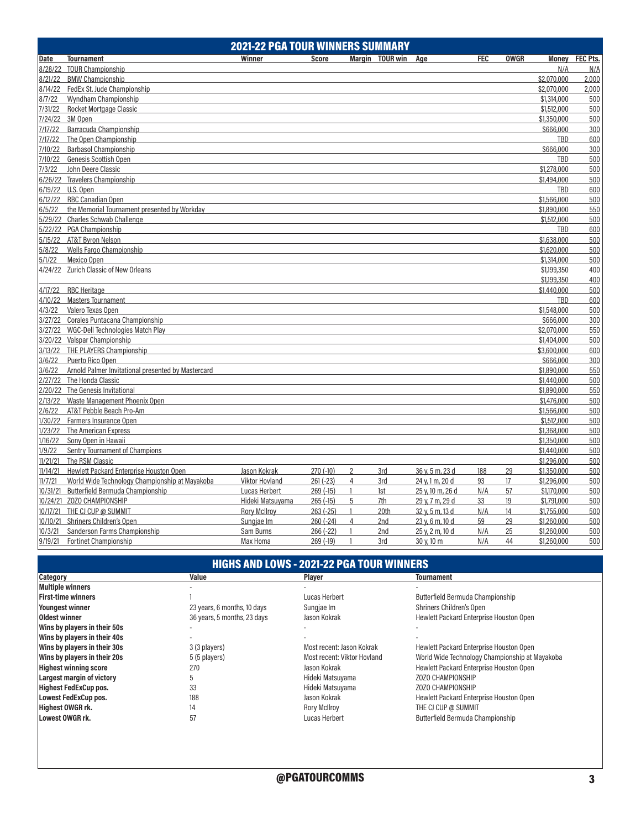|          |                                                    | <b>2021-22 PGA TOUR WINNERS SUMMARY</b> |             |                |                 |                  |            |             |             |                |
|----------|----------------------------------------------------|-----------------------------------------|-------------|----------------|-----------------|------------------|------------|-------------|-------------|----------------|
| Date     | <b>Tournament</b>                                  | Winner                                  | Score       |                | Margin TOUR win | Age              | <b>FEC</b> | <b>OWGR</b> |             | Money FEC Pts. |
|          | 8/28/22 TOUR Championship                          |                                         |             |                |                 |                  |            |             | N/A         | N/A            |
| 8/21/22  | <b>BMW Championship</b>                            |                                         |             |                |                 |                  |            |             | \$2,070,000 | 2,000          |
| 8/14/22  | FedEx St. Jude Championship                        |                                         |             |                |                 |                  |            |             | \$2,070,000 | 2,000          |
| 8/7/22   | <b>Wyndham Championship</b>                        |                                         |             |                |                 |                  |            |             | \$1,314,000 | 500            |
| 7/31/22  | <b>Rocket Mortgage Classic</b>                     |                                         |             |                |                 |                  |            |             | \$1,512,000 | 500            |
| 7/24/22  | 3M Open                                            |                                         |             |                |                 |                  |            |             | \$1,350,000 | 500            |
| 7/17/22  | Barracuda Championship                             |                                         |             |                |                 |                  |            |             | \$666,000   | 300            |
| 7/17/22  | The Open Championship                              |                                         |             |                |                 |                  |            |             | TBD         | 600            |
| 7/10/22  | <b>Barbasol Championship</b>                       |                                         |             |                |                 |                  |            |             | \$666,000   | 300            |
| 7/10/22  | Genesis Scottish Open                              |                                         |             |                |                 |                  |            |             | TBD         | 500            |
| 7/3/22   | John Deere Classic                                 |                                         |             |                |                 |                  |            |             | \$1,278,000 | 500            |
| 6/26/22  | <b>Travelers Championship</b>                      |                                         |             |                |                 |                  |            |             | \$1,494,000 | 500            |
| 6/19/22  | U.S. Open                                          |                                         |             |                |                 |                  |            |             | <b>TBD</b>  | 600            |
| 6/12/22  | RBC Canadian Open                                  |                                         |             |                |                 |                  |            |             | \$1,566,000 | 500            |
| 6/5/22   | the Memorial Tournament presented by Workday       |                                         |             |                |                 |                  |            |             | \$1,890,000 | 550            |
| 5/29/22  | Charles Schwab Challenge                           |                                         |             |                |                 |                  |            |             | \$1,512,000 | 500            |
| 5/22/22  | <b>PGA Championship</b>                            |                                         |             |                |                 |                  |            |             | TBD         | 600            |
| 5/15/22  | <b>AT&amp;T Byron Nelson</b>                       |                                         |             |                |                 |                  |            |             | \$1,638,000 | 500            |
| 5/8/22   | Wells Fargo Championship                           |                                         |             |                |                 |                  |            |             | \$1,620,000 | 500            |
| 5/1/22   | Mexico Open                                        |                                         |             |                |                 |                  |            |             | \$1,314,000 | 500            |
|          | 4/24/22 Zurich Classic of New Orleans              |                                         |             |                |                 |                  |            |             | \$1,199,350 | 400            |
|          |                                                    |                                         |             |                |                 |                  |            |             | \$1,199,350 | 400            |
| 4/17/22  | <b>RBC Heritage</b>                                |                                         |             |                |                 |                  |            |             | \$1,440,000 | 500            |
| 4/10/22  | <b>Masters Tournament</b>                          |                                         |             |                |                 |                  |            |             | TBD         | 600            |
| 4/3/22   | Valero Texas Open                                  |                                         |             |                |                 |                  |            |             | \$1,548,000 | 500            |
|          | 3/27/22 Corales Puntacana Championship             |                                         |             |                |                 |                  |            |             | \$666,000   | 300            |
| 3/27/22  | <b>WGC-Dell Technologies Match Play</b>            |                                         |             |                |                 |                  |            |             | \$2,070,000 | 550            |
|          | 3/20/22 Valspar Championship                       |                                         |             |                |                 |                  |            |             | \$1,404,000 | 500            |
| 3/13/22  | THE PLAYERS Championship                           |                                         |             |                |                 |                  |            |             | \$3,600,000 | 600            |
| 3/6/22   | Puerto Rico Open                                   |                                         |             |                |                 |                  |            |             | \$666,000   | 300            |
| 3/6/22   | Arnold Palmer Invitational presented by Mastercard |                                         |             |                |                 |                  |            |             | \$1,890,000 | 550            |
| 2/27/22  | The Honda Classic                                  |                                         |             |                |                 |                  |            |             | \$1,440,000 | 500            |
| 2/20/22  | The Genesis Invitational                           |                                         |             |                |                 |                  |            |             | \$1,890,000 | 550            |
| 2/13/22  | Waste Management Phoenix Open                      |                                         |             |                |                 |                  |            |             | \$1,476,000 | 500            |
| 2/6/22   | AT&T Pebble Beach Pro-Am                           |                                         |             |                |                 |                  |            |             | \$1,566,000 | 500            |
| 1/30/22  | Farmers Insurance Open                             |                                         |             |                |                 |                  |            |             | \$1,512,000 | 500            |
| 1/23/22  | The American Express                               |                                         |             |                |                 |                  |            |             | \$1,368,000 | 500            |
| 1/16/22  | Sony Open in Hawaii                                |                                         |             |                |                 |                  |            |             | \$1,350,000 | 500            |
| 1/9/22   | Sentry Tournament of Champions                     |                                         |             |                |                 |                  |            |             | \$1,440,000 | 500            |
| 11/21/21 | The RSM Classic                                    |                                         |             |                |                 |                  |            |             | \$1,296,000 | 500            |
| 11/14/21 | Hewlett Packard Enterprise Houston Open            | Jason Kokrak                            | $270(-10)$  | $\overline{2}$ | 3rd             | 36 y, 5 m, 23 d  | 188        | 29          | \$1,350,000 | 500            |
| 11/7/21  | World Wide Technology Championship at Mayakoba     | Viktor Hovland                          | $261 (-23)$ | $\overline{4}$ | 3rd             | 24 v, 1 m, 20 d  | 93         | 17          | \$1,296,000 | 500            |
|          | 10/31/21 Butterfield Bermuda Championship          | Lucas Herbert                           | $269(-15)$  | $\mathbf{1}$   | 1st             | 25 y, 10 m, 26 d | N/A        | 57          | \$1,170,000 | 500            |
|          | 10/24/21 Z0Z0 CHAMPIONSHIP                         | Hideki Matsuyama                        | $265(-15)$  | 5              | 7th             | 29 y, 7 m, 29 d  | 33         | 19          | \$1,791,000 | 500            |
|          | 10/17/21 THE CJ CUP @ SUMMIT                       | <b>Rory McIlroy</b>                     | $263(-25)$  | $\mathbf{1}$   | 20th            | 32 y, 5 m, 13 d  | N/A        | 14          | \$1,755,000 | 500            |
|          | 10/10/21 Shriners Children's Open                  | Sungjae Im                              | $260(-24)$  | $\overline{4}$ | 2nd             | 23 y, 6 m, 10 d  | 59         | 29          | \$1,260,000 | 500            |
| 10/3/21  | Sanderson Farms Championship                       | Sam Burns                               | 266 (-22)   | $\mathbf{1}$   | 2nd             | 25 y, 2 m, 10 d  | N/A        | 25          | \$1,260,000 | 500            |
| 9/19/21  | <b>Fortinet Championship</b>                       | Max Homa                                | 269 (-19)   | $\mathbf{1}$   | 3rd             | 30 y, 10 m       | N/A        | 44          | \$1,260,000 | 500            |
|          |                                                    |                                         |             |                |                 |                  |            |             |             |                |

# HIGHS AND LOWS - 2021-22 PGA TOUR WINNERS

| Category                         | Value                       | <b>Plaver</b>               | <b>Tournament</b>                              |
|----------------------------------|-----------------------------|-----------------------------|------------------------------------------------|
| <b>Multiple winners</b>          |                             |                             |                                                |
| <b>First-time winners</b>        |                             | Lucas Herbert               | Butterfield Bermuda Championship               |
| <b>Youngest winner</b>           | 23 years, 6 months, 10 days | Sungjae Im                  | Shriners Children's Open                       |
| Oldest winner                    | 36 years, 5 months, 23 days | Jason Kokrak                | Hewlett Packard Enterprise Houston Open        |
| Wins by players in their 50s     |                             |                             |                                                |
| Wins by players in their 40s     |                             |                             |                                                |
| Wins by players in their 30s     | 3 (3 players)               | Most recent: Jason Kokrak   | Hewlett Packard Enterprise Houston Open        |
| Wins by players in their 20s     | 5 (5 players)               | Most recent: Viktor Hovland | World Wide Technology Championship at Mayakoba |
| <b>Highest winning score</b>     | 270                         | Jason Kokrak                | Hewlett Packard Enterprise Houston Open        |
| <b>Largest margin of victory</b> | b                           | Hideki Matsuyama            | ZOZO CHAMPIONSHIP                              |
| <b>Highest FedExCup pos.</b>     | 33                          | Hideki Matsuyama            | ZOZO CHAMPIONSHIP                              |
| <b>Lowest FedExCup pos.</b>      | 188                         | Jason Kokrak                | Hewlett Packard Enterprise Houston Open        |
| <b>Highest OWGR rk.</b>          | 14                          | <b>Rory McIlroy</b>         | THE CJ CUP @ SUMMIT                            |
| <b>Lowest OWGR rk.</b>           | 57                          | Lucas Herbert               | Butterfield Bermuda Championship               |
|                                  |                             |                             |                                                |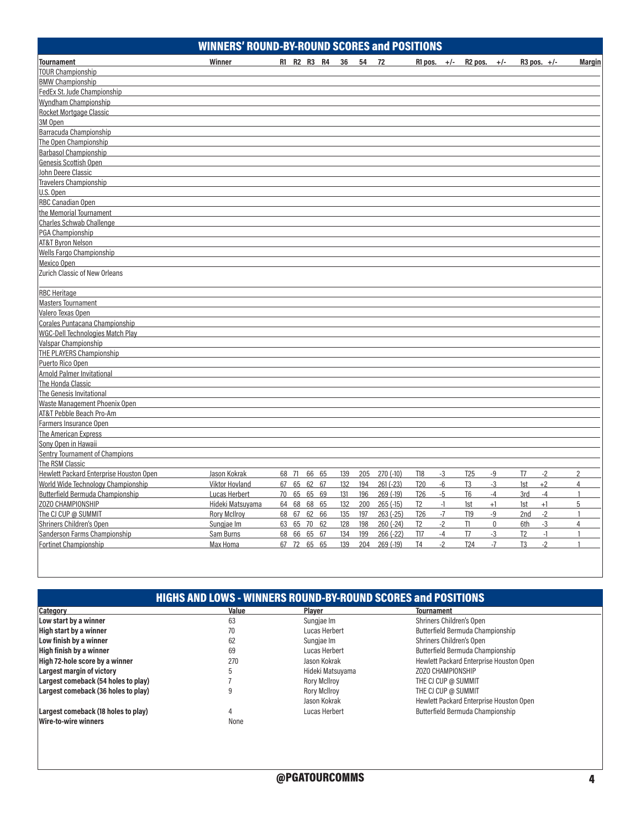|                                         | <b>WINNERS' ROUND-BY-ROUND SCORES and POSITIONS</b> |                   |             |            |                         |                     |              |                        |                |
|-----------------------------------------|-----------------------------------------------------|-------------------|-------------|------------|-------------------------|---------------------|--------------|------------------------|----------------|
| <b>Tournament</b>                       | Winner                                              | R1 R2 R3 R4       | 36<br>54 72 |            | R1 pos. $+/-$           | R <sub>2</sub> pos. | $+/-$        | $R3$ pos. $+/-$        | <b>Margin</b>  |
| <b>TOUR Championship</b>                |                                                     |                   |             |            |                         |                     |              |                        |                |
| <b>BMW Championship</b>                 |                                                     |                   |             |            |                         |                     |              |                        |                |
| FedEx St. Jude Championship             |                                                     |                   |             |            |                         |                     |              |                        |                |
| Wyndham Championship                    |                                                     |                   |             |            |                         |                     |              |                        |                |
| <b>Rocket Mortgage Classic</b>          |                                                     |                   |             |            |                         |                     |              |                        |                |
| 3M Open                                 |                                                     |                   |             |            |                         |                     |              |                        |                |
| Barracuda Championship                  |                                                     |                   |             |            |                         |                     |              |                        |                |
| The Open Championship                   |                                                     |                   |             |            |                         |                     |              |                        |                |
| Barbasol Championship                   |                                                     |                   |             |            |                         |                     |              |                        |                |
| Genesis Scottish Open                   |                                                     |                   |             |            |                         |                     |              |                        |                |
| John Deere Classic                      |                                                     |                   |             |            |                         |                     |              |                        |                |
| <b>Travelers Championship</b>           |                                                     |                   |             |            |                         |                     |              |                        |                |
| U.S. Open                               |                                                     |                   |             |            |                         |                     |              |                        |                |
| <b>RBC Canadian Open</b>                |                                                     |                   |             |            |                         |                     |              |                        |                |
| the Memorial Tournament                 |                                                     |                   |             |            |                         |                     |              |                        |                |
| <b>Charles Schwab Challenge</b>         |                                                     |                   |             |            |                         |                     |              |                        |                |
| PGA Championship                        |                                                     |                   |             |            |                         |                     |              |                        |                |
| <b>AT&amp;T Byron Nelson</b>            |                                                     |                   |             |            |                         |                     |              |                        |                |
| <b>Wells Fargo Championship</b>         |                                                     |                   |             |            |                         |                     |              |                        |                |
| Mexico Open                             |                                                     |                   |             |            |                         |                     |              |                        |                |
| Zurich Classic of New Orleans           |                                                     |                   |             |            |                         |                     |              |                        |                |
| <b>RBC Heritage</b>                     |                                                     |                   |             |            |                         |                     |              |                        |                |
| <b>Masters Tournament</b>               |                                                     |                   |             |            |                         |                     |              |                        |                |
| Valero Texas Open                       |                                                     |                   |             |            |                         |                     |              |                        |                |
| Corales Puntacana Championship          |                                                     |                   |             |            |                         |                     |              |                        |                |
| WGC-Dell Technologies Match Play        |                                                     |                   |             |            |                         |                     |              |                        |                |
| Valspar Championship                    |                                                     |                   |             |            |                         |                     |              |                        |                |
| THE PLAYERS Championship                |                                                     |                   |             |            |                         |                     |              |                        |                |
| Puerto Rico Open                        |                                                     |                   |             |            |                         |                     |              |                        |                |
| <b>Arnold Palmer Invitational</b>       |                                                     |                   |             |            |                         |                     |              |                        |                |
| The Honda Classic                       |                                                     |                   |             |            |                         |                     |              |                        |                |
| The Genesis Invitational                |                                                     |                   |             |            |                         |                     |              |                        |                |
| Waste Management Phoenix Open           |                                                     |                   |             |            |                         |                     |              |                        |                |
| AT&T Pebble Beach Pro-Am                |                                                     |                   |             |            |                         |                     |              |                        |                |
| Farmers Insurance Open                  |                                                     |                   |             |            |                         |                     |              |                        |                |
| <b>The American Express</b>             |                                                     |                   |             |            |                         |                     |              |                        |                |
| Sony Open in Hawaii                     |                                                     |                   |             |            |                         |                     |              |                        |                |
| <b>Sentry Tournament of Champions</b>   |                                                     |                   |             |            |                         |                     |              |                        |                |
| The RSM Classic                         |                                                     |                   |             |            |                         |                     |              |                        |                |
| Hewlett Packard Enterprise Houston Open | Jason Kokrak                                        | 68 71<br>66 65    | 205<br>139  | $270(-10)$ | $-3$<br>T18             | <b>T25</b>          | $-9$         | T7<br>$-2$             | $\overline{2}$ |
| World Wide Technology Championship      | <b>Viktor Hovland</b>                               | 67 65<br>62<br>67 | 132<br>194  | $261(-23)$ | <b>T20</b><br>$-6$      | T <sub>3</sub>      | $-3$         | $+2$<br>1st            | $\overline{4}$ |
| Butterfield Bermuda Championship        | Lucas Herbert                                       | 70 65 65 69       | 131<br>196  | $269(-19)$ | T <sub>26</sub><br>$-5$ | T <sub>6</sub>      | $-4$         | $-4$<br>3rd            | $\mathbf{1}$   |
| ZOZO CHAMPIONSHIP                       | Hideki Matsuyama                                    | 64 68 68 65       | 132<br>200  | $265(-15)$ | T <sub>2</sub><br>$-1$  | 1st                 | $+1$         | 1st<br>$+1$            | 5              |
| The CJ CUP @ SUMMIT                     | <b>Rory McIlroy</b>                                 | 68 67 62 66       | 135<br>197  | $263(-25)$ | $-7$<br>T <sub>26</sub> | T19                 | -9           | $-2$<br>2nd            | $\overline{1}$ |
| <b>Shriners Children's Open</b>         | Sungjae Im                                          | 63 65 70<br>62    | 128<br>198  | $260(-24)$ | $-2$<br>T <sub>2</sub>  | T1                  | $\mathbf{0}$ | 6th<br>$-3$            | $\overline{4}$ |
| Sanderson Farms Championship            | Sam Burns                                           | 68 66 65 67       | 134<br>199  | 266 (-22)  | <b>T17</b><br>$-4$      | T7                  | $-3$         | T <sub>2</sub><br>$-1$ | $\overline{1}$ |
| <b>Fortinet Championship</b>            | Max Homa                                            | 67 72 65 65       | 139<br>204  | $269(-19)$ | T <sub>4</sub><br>$-2$  | T <sub>24</sub>     | $-7$         | $-2$<br>T <sub>3</sub> | $\overline{1}$ |

| <b>Category</b>                     | Value | Plaver              | <b>Tournament</b>                       |
|-------------------------------------|-------|---------------------|-----------------------------------------|
| Low start by a winner               | 63    | Sungjae Im          | Shriners Children's Open                |
| High start by a winner              | 70    | Lucas Herbert       | Butterfield Bermuda Championship        |
| Low finish by a winner              | 62    | Sungjae Im          | Shriners Children's Open                |
| High finish by a winner             | 69    | Lucas Herbert       | Butterfield Bermuda Championship        |
| High 72-hole score by a winner      | 270   | Jason Kokrak        | Hewlett Packard Enterprise Houston Open |
| <b>Largest margin of victory</b>    |       | Hideki Matsuyama    | ZOZO CHAMPIONSHIP                       |
| Largest comeback (54 holes to play) |       | <b>Rory McIlroy</b> | THE CJ CUP @ SUMMIT                     |
| Largest comeback (36 holes to play) |       | <b>Rory McIlroy</b> | THE CJ CUP @ SUMMIT                     |
|                                     |       | Jason Kokrak        | Hewlett Packard Enterprise Houston Open |
| Largest comeback (18 holes to play) |       | Lucas Herbert       | <b>Butterfield Bermuda Championship</b> |
| <b>Wire-to-wire winners</b>         | None  |                     |                                         |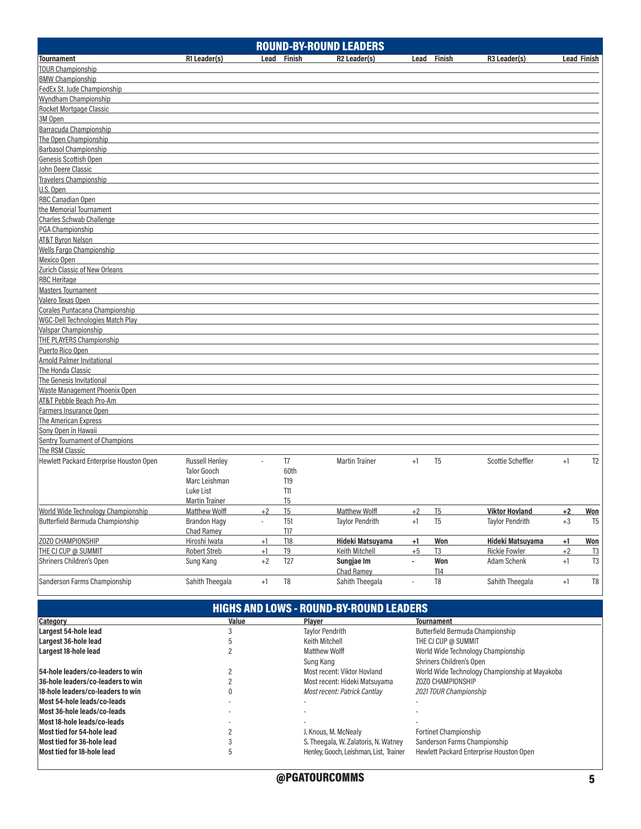|                                         |                       |                             |                | <b>ROUND-BY-ROUND LEADERS</b> |                          |                |                          |             |                    |
|-----------------------------------------|-----------------------|-----------------------------|----------------|-------------------------------|--------------------------|----------------|--------------------------|-------------|--------------------|
| <b>Tournament</b>                       | R1 Leader(s)          |                             | Lead Finish    | R <sub>2</sub> Leader(s)      | Lead                     | Finish         | R <sub>3</sub> Leader(s) |             | <b>Lead Finish</b> |
| <b>TOUR Championship</b>                |                       |                             |                |                               |                          |                |                          |             |                    |
| <b>BMW Championship</b>                 |                       |                             |                |                               |                          |                |                          |             |                    |
| FedEx St. Jude Championship             |                       |                             |                |                               |                          |                |                          |             |                    |
| Wyndham Championship                    |                       |                             |                |                               |                          |                |                          |             |                    |
| <b>Rocket Mortgage Classic</b>          |                       |                             |                |                               |                          |                |                          |             |                    |
| 3M Open                                 |                       |                             |                |                               |                          |                |                          |             |                    |
| Barracuda Championship                  |                       |                             |                |                               |                          |                |                          |             |                    |
| The Open Championship                   |                       |                             |                |                               |                          |                |                          |             |                    |
| <b>Barbasol Championship</b>            |                       |                             |                |                               |                          |                |                          |             |                    |
| Genesis Scottish Open                   |                       |                             |                |                               |                          |                |                          |             |                    |
| John Deere Classic                      |                       |                             |                |                               |                          |                |                          |             |                    |
| <b>Travelers Championship</b>           |                       |                             |                |                               |                          |                |                          |             |                    |
| U.S. Open                               |                       |                             |                |                               |                          |                |                          |             |                    |
| <b>RBC Canadian Open</b>                |                       |                             |                |                               |                          |                |                          |             |                    |
| the Memorial Tournament                 |                       |                             |                |                               |                          |                |                          |             |                    |
| Charles Schwab Challenge                |                       |                             |                |                               |                          |                |                          |             |                    |
| PGA Championship                        |                       |                             |                |                               |                          |                |                          |             |                    |
|                                         |                       |                             |                |                               |                          |                |                          |             |                    |
| <b>AT&amp;T Byron Nelson</b>            |                       |                             |                |                               |                          |                |                          |             |                    |
| <b>Wells Fargo Championship</b>         |                       |                             |                |                               |                          |                |                          |             |                    |
| Mexico Open                             |                       |                             |                |                               |                          |                |                          |             |                    |
| Zurich Classic of New Orleans           |                       |                             |                |                               |                          |                |                          |             |                    |
| <b>RBC</b> Heritage                     |                       |                             |                |                               |                          |                |                          |             |                    |
| <b>Masters Tournament</b>               |                       |                             |                |                               |                          |                |                          |             |                    |
| Valero Texas Open                       |                       |                             |                |                               |                          |                |                          |             |                    |
| Corales Puntacana Championship          |                       |                             |                |                               |                          |                |                          |             |                    |
| WGC-Dell Technologies Match Play        |                       |                             |                |                               |                          |                |                          |             |                    |
| Valspar Championship                    |                       |                             |                |                               |                          |                |                          |             |                    |
| <b>THE PLAYERS Championship</b>         |                       |                             |                |                               |                          |                |                          |             |                    |
| Puerto Rico Open                        |                       |                             |                |                               |                          |                |                          |             |                    |
| <b>Arnold Palmer Invitational</b>       |                       |                             |                |                               |                          |                |                          |             |                    |
| The Honda Classic                       |                       |                             |                |                               |                          |                |                          |             |                    |
| The Genesis Invitational                |                       |                             |                |                               |                          |                |                          |             |                    |
| Waste Management Phoenix Open           |                       |                             |                |                               |                          |                |                          |             |                    |
| AT&T Pebble Beach Pro-Am                |                       |                             |                |                               |                          |                |                          |             |                    |
| Farmers Insurance Open                  |                       |                             |                |                               |                          |                |                          |             |                    |
| The American Express                    |                       |                             |                |                               |                          |                |                          |             |                    |
| Sony Open in Hawaii                     |                       |                             |                |                               |                          |                |                          |             |                    |
| <b>Sentry Tournament of Champions</b>   |                       |                             |                |                               |                          |                |                          |             |                    |
| The RSM Classic                         |                       |                             |                |                               |                          |                |                          |             |                    |
| Hewlett Packard Enterprise Houston Open | <b>Russell Henley</b> | $\overline{a}$              | T <sub>7</sub> | <b>Martin Trainer</b>         | $+1$                     | T <sub>5</sub> | Scottie Scheffler        | $+1$        | T <sub>2</sub>     |
|                                         | <b>Talor Gooch</b>    |                             | 60th           |                               |                          |                |                          |             |                    |
|                                         | Marc Leishman         |                             | T19            |                               |                          |                |                          |             |                    |
|                                         | Luke List             |                             | T11            |                               |                          |                |                          |             |                    |
|                                         | <b>Martin Trainer</b> |                             | T <sub>5</sub> |                               |                          |                |                          |             |                    |
| World Wide Technology Championship      | <b>Matthew Wolff</b>  | $+2$                        | T5             | Matthew Wolff                 | $+2$                     | T5             | <b>Viktor Hovland</b>    | $+2$        | <b>Won</b>         |
| Butterfield Bermuda Championship        | <b>Brandon Hagy</b>   | $\mathcal{L}_{\mathcal{A}}$ | <b>T51</b>     | <b>Taylor Pendrith</b>        | $+1$                     | T <sub>5</sub> | <b>Taylor Pendrith</b>   | $^{\rm +3}$ | T <sub>5</sub>     |
|                                         | Chad Ramey            |                             | T17            |                               |                          |                |                          |             |                    |
| ZOZO CHAMPIONSHIP                       | Hiroshi Iwata         | $+1$                        | T18            | <b>Hideki Matsuyama</b>       | $+1$                     | Won            | Hideki Matsuyama         | $+1$        | Won                |
| THE CJ CUP @ SUMMIT                     | <b>Robert Streb</b>   | $+1$                        | T <sub>9</sub> | Keith Mitchell                | $+5$                     | T3             | <b>Rickie Fowler</b>     | $+2$        | $\frac{13}{2}$     |
| Shriners Children's Open                | Sung Kang             | $+2$                        | T27            | Sungjae Im                    | $\blacksquare$           | Won            | Adam Schenk              | $+1$        | T <sub>3</sub>     |
|                                         |                       |                             |                | Chad Ramey                    |                          | T14            |                          |             |                    |
| Sanderson Farms Championship            | Sahith Theegala       | $+1$                        | $\mathsf{T}8$  | Sahith Theegala               | $\overline{\phantom{a}}$ | T <sub>8</sub> | Sahith Theegala          | $+1$        | $\mathsf{T}8$      |
|                                         |                       |                             |                |                               |                          |                |                          |             |                    |

| <b>HIGHS AND LOWS - ROUND-BY-ROUND LEADERS</b> |       |                                        |                                                |  |  |  |  |  |  |  |
|------------------------------------------------|-------|----------------------------------------|------------------------------------------------|--|--|--|--|--|--|--|
| Category                                       | Value | Plaver                                 | <b>Tournament</b>                              |  |  |  |  |  |  |  |
| Largest 54-hole lead                           |       | <b>Taylor Pendrith</b>                 | Butterfield Bermuda Championship               |  |  |  |  |  |  |  |
| Largest 36-hole lead                           |       | Keith Mitchell                         | THE CJ CUP @ SUMMIT                            |  |  |  |  |  |  |  |
| Largest 18-hole lead                           |       | Matthew Wolff                          | World Wide Technology Championship             |  |  |  |  |  |  |  |
|                                                |       | Sung Kang                              | <b>Shriners Children's Open</b>                |  |  |  |  |  |  |  |
| 54-hole leaders/co-leaders to win              |       | Most recent: Viktor Hovland            | World Wide Technology Championship at Mayakoba |  |  |  |  |  |  |  |
| 36-hole leaders/co-leaders to win              |       | Most recent: Hideki Matsuyama          | ZOZO CHAMPIONSHIP                              |  |  |  |  |  |  |  |
| 18-hole leaders/co-leaders to win              |       | Most recent: Patrick Cantlay           | 2021 TOUR Championship                         |  |  |  |  |  |  |  |
| Most 54-hole leads/co-leads                    |       |                                        |                                                |  |  |  |  |  |  |  |
| Most 36-hole leads/co-leads                    |       |                                        |                                                |  |  |  |  |  |  |  |
| Most 18-hole leads/co-leads                    |       |                                        |                                                |  |  |  |  |  |  |  |
| Most tied for 54-hole lead                     |       | J. Knous, M. McNealy                   | <b>Fortinet Championship</b>                   |  |  |  |  |  |  |  |
| Most tied for 36-hole lead                     |       | S. Theegala, W. Zalatoris, N. Watney   | Sanderson Farms Championship                   |  |  |  |  |  |  |  |
| Most tied for 18-hole lead                     |       | Henley, Gooch, Leishman, List, Trainer | Hewlett Packard Enterprise Houston Open        |  |  |  |  |  |  |  |
|                                                |       |                                        |                                                |  |  |  |  |  |  |  |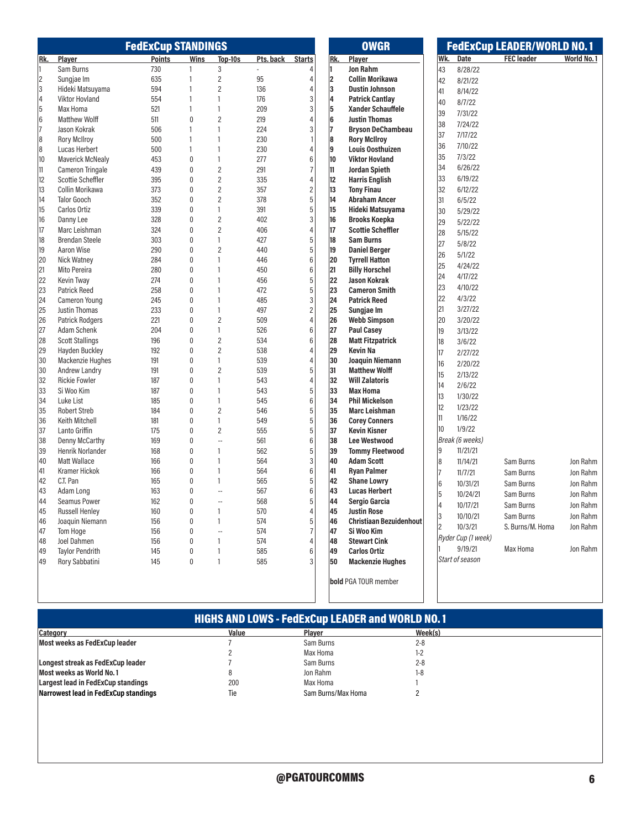|           |                                      | <b>FedExCup STANDINGS</b> |                           |                      |                |                      |     | <b>OWGR</b>                             |     |                    | <b>FedExCup LEADER/WORLD NO.1</b> |            |
|-----------|--------------------------------------|---------------------------|---------------------------|----------------------|----------------|----------------------|-----|-----------------------------------------|-----|--------------------|-----------------------------------|------------|
| Rk.       | Player                               | <b>Points</b>             | Wins                      | Top-10s              | Pts. back      | <b>Starts</b>        | Rk. | Player                                  | Wk. | Date               | <b>FEC leader</b>                 | World No.1 |
| 11        | Sam Burns                            | 730                       | 1                         | 3                    | $\overline{a}$ |                      | 11  | <b>Jon Rahm</b>                         | 43  | 8/28/22            |                                   |            |
| $\vert$ 2 | Sungjae Im                           | 635                       | 1                         | $\overline{2}$       | 95             | 4                    | 2   | <b>Collin Morikawa</b>                  | 42  | 8/21/22            |                                   |            |
| 3         | Hideki Matsuyama                     | 594                       | $\mathbf{1}$              | $\overline{2}$       | 136            | 4                    | 3   | <b>Dustin Johnson</b>                   | 41  | 8/14/22            |                                   |            |
| 4         | Viktor Hovland                       | 554                       | 1                         | 1                    | 176            | 3                    | 4   | <b>Patrick Cantlay</b>                  | 40  | 8/7/22             |                                   |            |
| $\vert$ 5 | Max Homa                             | 521                       | 1                         | $\mathbf{1}$         | 209            | 3                    | 5   | <b>Xander Schauffele</b>                | 39  | 7/31/22            |                                   |            |
| 6         | <b>Matthew Wolff</b>                 | 511                       | $\mathbf{0}$              | $\mathbf{2}$         | 219            |                      | 6   | <b>Justin Thomas</b>                    |     |                    |                                   |            |
| 17        | Jason Kokrak                         | 506                       | 1                         | 1                    | 224            | 3                    | 17  | <b>Bryson DeChambeau</b>                | 38  | 7/24/22            |                                   |            |
| 8         | <b>Rory McIlroy</b>                  | 500                       | $\mathbf{1}$              | 1                    | 230            |                      | 8   | <b>Rory McIlroy</b>                     | 37  | 7/17/22            |                                   |            |
| 8         | Lucas Herbert                        | 500                       | 1                         | 1                    | 230            | $\overline{4}$       | 9   | <b>Louis Oosthuizen</b>                 | 36  | 7/10/22            |                                   |            |
| 10        | <b>Maverick McNealy</b>              | 453                       | $\pmb{0}$                 | $\mathbf{1}$         | 277            | $6\phantom{1}6$      | 10  | <b>Viktor Hovland</b>                   | 35  | 7/3/22             |                                   |            |
| 11        | <b>Cameron Tringale</b>              | 439                       | $\mathbf 0$               | $\mathbf{2}$         | 291            | $\overline{7}$       | 11  | <b>Jordan Spieth</b>                    | 34  | 6/26/22            |                                   |            |
| 12        | Scottie Scheffler                    | 395                       | $\pmb{0}$                 | $\overline{2}$       | 335            | 4                    | 12  | <b>Harris English</b>                   | 33  | 6/19/22            |                                   |            |
| 13        | Collin Morikawa                      | 373                       | $\pmb{0}$                 | $\overline{2}$       | 357            | $\overline{c}$       | 13  | <b>Tony Finau</b>                       | 32  | 6/12/22            |                                   |            |
| 14        | <b>Talor Gooch</b>                   | 352                       | $\mathbf{0}$              | $\overline{2}$       | 378            | $\overline{5}$       | 14  | <b>Abraham Ancer</b>                    | 31  | 6/5/22             |                                   |            |
| 15        | Carlos Ortiz                         | 339                       | $\mathbf{0}$              | 1                    | 391            | 5                    | 15  | Hideki Matsuyama                        | 30  | 5/29/22            |                                   |            |
| 16        | Danny Lee                            | 328                       | $\mathbf 0$               | $\mathbf{2}$         | 402            | 3                    | 16  | <b>Brooks Koepka</b>                    | 29  | 5/22/22            |                                   |            |
| 17        | Marc Leishman                        | 324                       | 0                         | 2                    | 406            | 4                    | 17  | <b>Scottie Scheffler</b>                |     |                    |                                   |            |
| 18        | <b>Brendan Steele</b>                | 303                       | $\pmb{0}$                 | $\mathbf{1}$         | 427            | 5                    | 18  | <b>Sam Burns</b>                        | 28  | 5/15/22            |                                   |            |
| 19        | Aaron Wise                           | 290                       | $\mathbf{0}$              | $\overline{2}$       | 440            | 5                    | 19  | <b>Daniel Berger</b>                    | 27  | 5/8/22             |                                   |            |
| 20        | Nick Watney                          | 284                       | $\mathbf{0}$              | $\mathbf{1}$         | 446            | $6\phantom{1}$       | 20  | <b>Tvrrell Hatton</b>                   | 26  | 5/1/22             |                                   |            |
| 21        | Mito Pereira                         | 280                       | $\mathbf 0$               | 1                    | 450            | $6\phantom{1}6$      | 21  | <b>Billy Horschel</b>                   | 25  | 4/24/22            |                                   |            |
| 22        | Kevin Tway                           | 274                       | $\pmb{0}$                 | 1                    | 456            | 5                    | 22  | <b>Jason Kokrak</b>                     | 24  | 4/17/22            |                                   |            |
| 23        | <b>Patrick Reed</b>                  | 258                       | $\pmb{0}$                 | 1                    | 472            | 5                    | 23  | <b>Cameron Smith</b>                    | 23  | 4/10/22            |                                   |            |
| 24        | Cameron Young                        | 245                       | $\mathbf{0}$              | 1                    | 485            | $\mathfrak{Z}$       | 24  | <b>Patrick Reed</b>                     | 22  | 4/3/22             |                                   |            |
| 25        | Justin Thomas                        | 233                       | $\pmb{0}$                 | 1                    | 497            | $\overline{c}$       | 25  | Sungjae Im                              | 21  | 3/27/22            |                                   |            |
| 26        | <b>Patrick Rodgers</b>               | 221                       | $\mathbf 0$               | $\mathbf{2}$         | 509            | $\overline{4}$       | 26  | <b>Webb Simpson</b>                     | 20  | 3/20/22            |                                   |            |
| 27        | Adam Schenk                          | 204                       | $\pmb{0}$                 | 1                    | 526            | $6\phantom{1}6$      | 27  | <b>Paul Casey</b>                       | 19  | 3/13/22            |                                   |            |
| 28        | <b>Scott Stallings</b>               | 196                       | $\pmb{0}$                 | $\overline{2}$       | 534            | $6\phantom{1}6$      | 28  | <b>Matt Fitzpatrick</b>                 |     |                    |                                   |            |
| 29        | Hayden Buckley                       | 192                       | $\mathbf{0}$              | $\overline{2}$       | 538            | $\overline{4}$       | 29  | Kevin Na                                | 18  | 3/6/22             |                                   |            |
| 30        | Mackenzie Hughes                     | 191                       | $\mathbf{0}$              | 1                    | 539            | $\overline{4}$       | 30  | Joaquin Niemann                         | 17  | 2/27/22            |                                   |            |
| 30        | Andrew Landry                        | 191                       | $\mathbf 0$               | $\mathbf{2}$         | 539            | 5                    | 31  | <b>Matthew Wolff</b>                    | 16  | 2/20/22            |                                   |            |
| 32        | <b>Rickie Fowler</b>                 | 187                       | 0                         | 1                    | 543            | 4                    | 32  | <b>Will Zalatoris</b>                   | 15  | 2/13/22            |                                   |            |
| 33        | Si Woo Kim                           | 187                       | $\pmb{0}$                 | 1                    | 543            | 5                    | 33  | <b>Max Homa</b>                         | 14  | 2/6/22             |                                   |            |
| 34        | Luke List                            | 185                       | $\mathbf{0}$              | 1                    | 545            | $6\phantom{1}$       | 34  | <b>Phil Mickelson</b>                   | 13  | 1/30/22            |                                   |            |
| 35        | <b>Robert Streb</b>                  | 184                       | $\mathbf{0}$              | $\mathbf{2}$         | 546            | 5                    | 35  | <b>Marc Leishman</b>                    | 12  | 1/23/22            |                                   |            |
| 36        | Keith Mitchell                       | 181                       | 0                         | 1                    | 549            | 5                    | 36  | <b>Corey Conners</b>                    | 11  | 1/16/22            |                                   |            |
| 37        | Lanto Griffin                        | 175                       | $\pmb{0}$                 | $\overline{c}$       | 555            | 5                    | 37  | <b>Kevin Kisner</b>                     | 10  | 1/9/22             |                                   |            |
|           |                                      |                           |                           | $\ddot{\phantom{a}}$ |                | $6\phantom{1}$       | 38  | <b>Lee Westwood</b>                     |     | Break (6 weeks)    |                                   |            |
| 38<br>39  | Denny McCarthy<br>Henrik Norlander   | 169                       | $\pmb{0}$<br>$\mathbf{0}$ | 1                    | 561<br>562     | 5                    | 39  | <b>Tommy Fleetwood</b>                  |     |                    |                                   |            |
|           |                                      | 168                       |                           | 1                    |                | 3                    | 40  |                                         | 19  | 11/21/21           |                                   |            |
| 40        | <b>Matt Wallace</b><br>Kramer Hickok | 166                       | $\pmb{0}$<br>$\mathbf 0$  | 1                    | 564<br>564     | $6\phantom{1}6$      |     | <b>Adam Scott</b><br><b>Ryan Palmer</b> | 8   | 11/14/21           | Sam Burns                         | Jon Rahm   |
| 41        |                                      | 166                       |                           | 1                    |                |                      | 41  |                                         | 17  | 11/7/21            | Sam Burns                         | Jon Rahm   |
| 42        | C.T. Pan                             | 165                       | $\mathbf{0}$              |                      | 565            | 5                    | 42  | <b>Shane Lowry</b>                      | 6   | 10/31/21           | Sam Burns                         | Jon Rahm   |
| 43        | Adam Long                            | 163                       | $\pmb{0}$                 | $-$                  | 567            | $6\phantom{1}6$<br>5 | 43  | <b>Lucas Herbert</b>                    | 5   | 10/24/21           | Sam Burns                         | Jon Rahm   |
| 44        | <b>Seamus Power</b>                  | 162                       | $\theta$                  | $\overline{a}$       | 568            |                      | 44  | Sergio Garcia                           |     | 10/17/21           | Sam Burns                         | Jon Rahm   |
| 45        | <b>Russell Henley</b>                | 160                       | $\bf{0}$                  | 1                    | 570            | 4                    | 45  | <b>Justin Rose</b>                      | 3   | 10/10/21           | Sam Burns                         | Jon Rahm   |
| 46        | Joaquin Niemann                      | 156                       | 0                         | 1                    | 574            | $\sqrt{5}$           | 46  | <b>Christiaan Bezuidenhout</b>          | 2   | 10/3/21            | S. Burns/M. Homa                  | Jon Rahm   |
| 47        | Tom Hoge                             | 156                       | 0                         | --                   | 574            | $\overline{7}$       | 47  | Si Woo Kim                              |     | Ryder Cup (1 week) |                                   |            |
| 48        | Joel Dahmen                          | 156                       | 0                         | 1                    | 574            | 4                    | 48  | <b>Stewart Cink</b>                     |     | 9/19/21            | Max Homa                          | Jon Rahm   |
| 49        | <b>Taylor Pendrith</b>               | 145                       | 0                         | 1                    | 585            | 6                    | 49  | <b>Carlos Ortiz</b>                     |     | Start of season    |                                   |            |
| 49        | Rory Sabbatini                       | 145                       | $\pmb{0}$                 | 1                    | 585            | 3                    | 50  | <b>Mackenzie Hughes</b>                 |     |                    |                                   |            |
|           |                                      |                           |                           |                      |                |                      |     | <b>bold PGA TOUR member</b>             |     |                    |                                   |            |

# HIGHS AND LOWS - FedExCup LEADER and WORLD NO. 1

| Category                             | Value | <b>Plaver</b>      | Week(s) |
|--------------------------------------|-------|--------------------|---------|
| Most weeks as FedExCup leader        |       | Sam Burns          | $2 - 8$ |
|                                      |       | Max Homa           | 1-2     |
| Longest streak as FedExCup leader    |       | Sam Burns          | $2 - 8$ |
| Most weeks as World No.1             |       | Jon Rahm           | 1-8     |
| Largest lead in FedExCup standings   | 200   | Max Homa           |         |
| Narrowest lead in FedExCup standings | Tie   | Sam Burns/Max Homa |         |
|                                      |       |                    |         |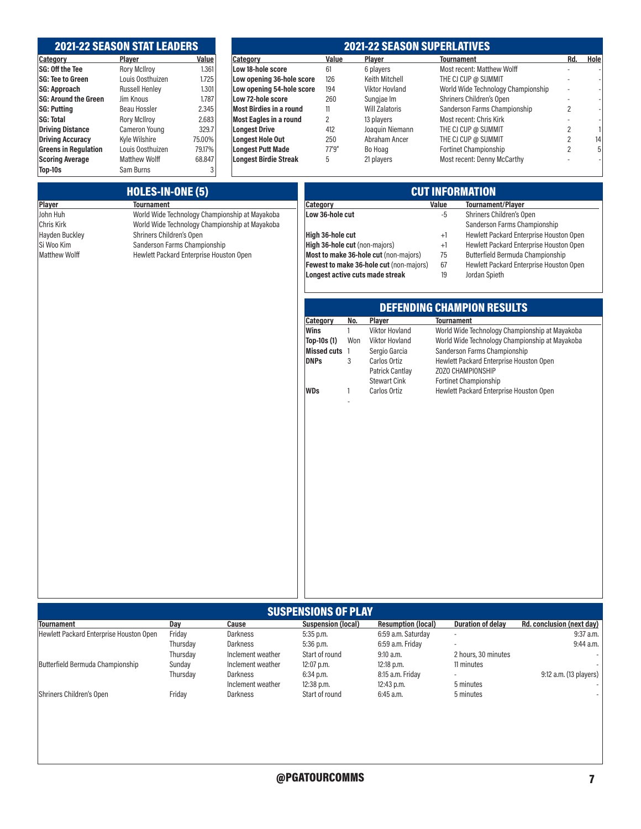# 2021-22 SEASON STAT LEADERS

| Category                    | Player                | Value  |
|-----------------------------|-----------------------|--------|
| SG: Off the Tee             | <b>Rory McIlroy</b>   | 1.361  |
| <b>SG: Tee to Green</b>     | Louis Oosthuizen      | 1.725  |
| <b>SG: Approach</b>         | <b>Russell Henley</b> | 1.301  |
| <b>SG: Around the Green</b> | Jim Knous             | 1.787  |
| <b>SG: Putting</b>          | Beau Hossler          | 2.345  |
| <b>SG: Total</b>            | <b>Rory McIlroy</b>   | 2.683  |
| <b>Driving Distance</b>     | Cameron Young         | 329.7  |
| <b>Driving Accuracy</b>     | Kyle Wilshire         | 75,00% |
| <b>Greens in Regulation</b> | Louis Oosthuizen      | 79,17% |
| <b>Scoring Average</b>      | <b>Matthew Wolff</b>  | 68.847 |
| Top-10s                     | Sam Burns             | 3      |

# 2021-22 SEASON SUPERLATIVES

| Value    | <b>Category</b>                | Value  | Plaver                | <b>Tournament</b>                  | Rd.                      | Hole |
|----------|--------------------------------|--------|-----------------------|------------------------------------|--------------------------|------|
| 1.361    | Low 18-hole score              | 61     | 6 players             | Most recent: Matthew Wolff         |                          |      |
| 1.725    | Low opening 36-hole score      | 126    | Keith Mitchell        | THE CJ CUP @ SUMMIT                |                          |      |
| 1.301    | Low opening 54-hole score      | 194    | <b>Viktor Hovland</b> | World Wide Technology Championship | $\overline{\phantom{0}}$ |      |
| 1.787    | Low 72-hole score              | 260    | Sungjae Im            | Shriners Children's Open           |                          |      |
| 2.345    | <b>Most Birdies in a round</b> | 11     | <b>Will Zalatoris</b> | Sanderson Farms Championship       | 2                        |      |
| 2.683    | <b>Most Eagles in a round</b>  | 2      | 13 players            | Most recent: Chris Kirk            |                          |      |
| 329.7    | <b>Longest Drive</b>           | 412    | Joaquin Niemann       | THE CJ CUP @ SUMMIT                |                          |      |
| 75,00%   | <b>Longest Hole Out</b>        | 250    | Abraham Ancer         | THE CJ CUP @ SUMMIT                |                          | 14   |
| 79.17%   | <b>Longest Putt Made</b>       | 77'9'' | Bo Hoag               | <b>Fortinet Championship</b>       |                          | 5    |
| 68.847   | <b>Longest Birdie Streak</b>   | 5      | 21 players            | Most recent: Denny McCarthy        |                          |      |
| $\Omega$ |                                |        |                       |                                    |                          |      |

|                       | <b>CUT INFORMATION</b>                         |                               |              |                                         |                   |                                                |
|-----------------------|------------------------------------------------|-------------------------------|--------------|-----------------------------------------|-------------------|------------------------------------------------|
| Player                | <b>Tournament</b>                              | Category                      |              |                                         | Value             | <b>Tournament/Player</b>                       |
| John Huh              | World Wide Technology Championship at Mayakoba | Low 36-hole cut               |              |                                         | -5                | Shriners Children's Open                       |
| <b>Chris Kirk</b>     | World Wide Technology Championship at Mayakoba |                               |              |                                         |                   | Sanderson Farms Championship                   |
| <b>Hayden Buckley</b> | Shriners Children's Open                       | High 36-hole cut              |              |                                         | $+1$              | Hewlett Packard Enterprise Houston Open        |
| Si Woo Kim            | Sanderson Farms Championship                   | High 36-hole cut (non-majors) |              |                                         | $+1$              | Hewlett Packard Enterprise Houston Open        |
| Matthew Wolff         | Hewlett Packard Enterprise Houston Open        |                               |              | Most to make 36-hole cut (non-majors)   | 75                | Butterfield Bermuda Championship               |
|                       |                                                |                               |              | Fewest to make 36-hole cut (non-majors) | 67                | Hewlett Packard Enterprise Houston Open        |
|                       |                                                |                               |              | Longest active cuts made streak         | 19                | Jordan Spieth                                  |
|                       |                                                |                               |              |                                         |                   |                                                |
|                       |                                                |                               |              |                                         |                   | <b>DEFENDING CHAMPION RESULTS</b>              |
|                       |                                                | Category                      | No.          | Player                                  | <b>Tournament</b> |                                                |
|                       |                                                | Wins                          | $\mathbf{1}$ | <b>Viktor Hovland</b>                   |                   | World Wide Technology Championship at Mayakoba |
|                       |                                                | Top-10s (1)                   | Won          | <b>Viktor Hovland</b>                   |                   | World Wide Technology Championship at Mayakoba |
|                       |                                                | Missed cuts 1                 |              | Sergio Garcia                           |                   | Sanderson Farms Championship                   |
|                       |                                                | <b>DNPs</b>                   | 3            | Carlos Ortiz                            |                   | Hewlett Packard Enterprise Houston Open        |
|                       |                                                |                               |              | <b>Patrick Cantlay</b>                  |                   | ZOZO CHAMPIONSHIP                              |
|                       |                                                |                               |              | <b>Stewart Cink</b>                     |                   | Fortinet Championship                          |
|                       |                                                | WDs                           | 1            | Carlos Ortiz                            |                   | Hewlett Packard Enterprise Houston Open        |
|                       |                                                |                               |              |                                         |                   |                                                |
|                       |                                                |                               |              |                                         |                   |                                                |

| <b>SUSPENSIONS OF PLAY</b>              |          |                   |                           |                           |                          |                           |
|-----------------------------------------|----------|-------------------|---------------------------|---------------------------|--------------------------|---------------------------|
| <b>Tournament</b>                       | Dav      | Cause             | <b>Suspension (local)</b> | <b>Resumption (local)</b> | <b>Duration of delay</b> | Rd. conclusion (next day) |
| Hewlett Packard Enterprise Houston Open | Friday   | Darkness          | $5:35$ p.m.               | 6:59 a.m. Saturday        | $\overline{\phantom{a}}$ | $9:37$ a.m.               |
|                                         | Thursdav | Darkness          | $5:36$ p.m.               | 6:59 a.m. Friday          | $\overline{\phantom{a}}$ | $9:44$ a.m.               |
|                                         | Thursday | Inclement weather | Start of round            | $9:10$ a.m.               | 2 hours, 30 minutes      |                           |
| Butterfield Bermuda Championship        | Sundav   | Inclement weather | $12:07$ p.m.              | $12:18$ p.m.              | 11 minutes               |                           |
|                                         | Thursdav | Darkness          | 6:34 p.m.                 | 8:15 a.m. Friday          |                          | 9:12 a.m. (13 players)    |
|                                         |          | Inclement weather | 12:38 p.m.                | $12:43$ p.m.              | 5 minutes                |                           |
| Shriners Children's Open                | Friday   | Darkness          | Start of round            | 6:45 a.m.                 | 5 minutes                |                           |